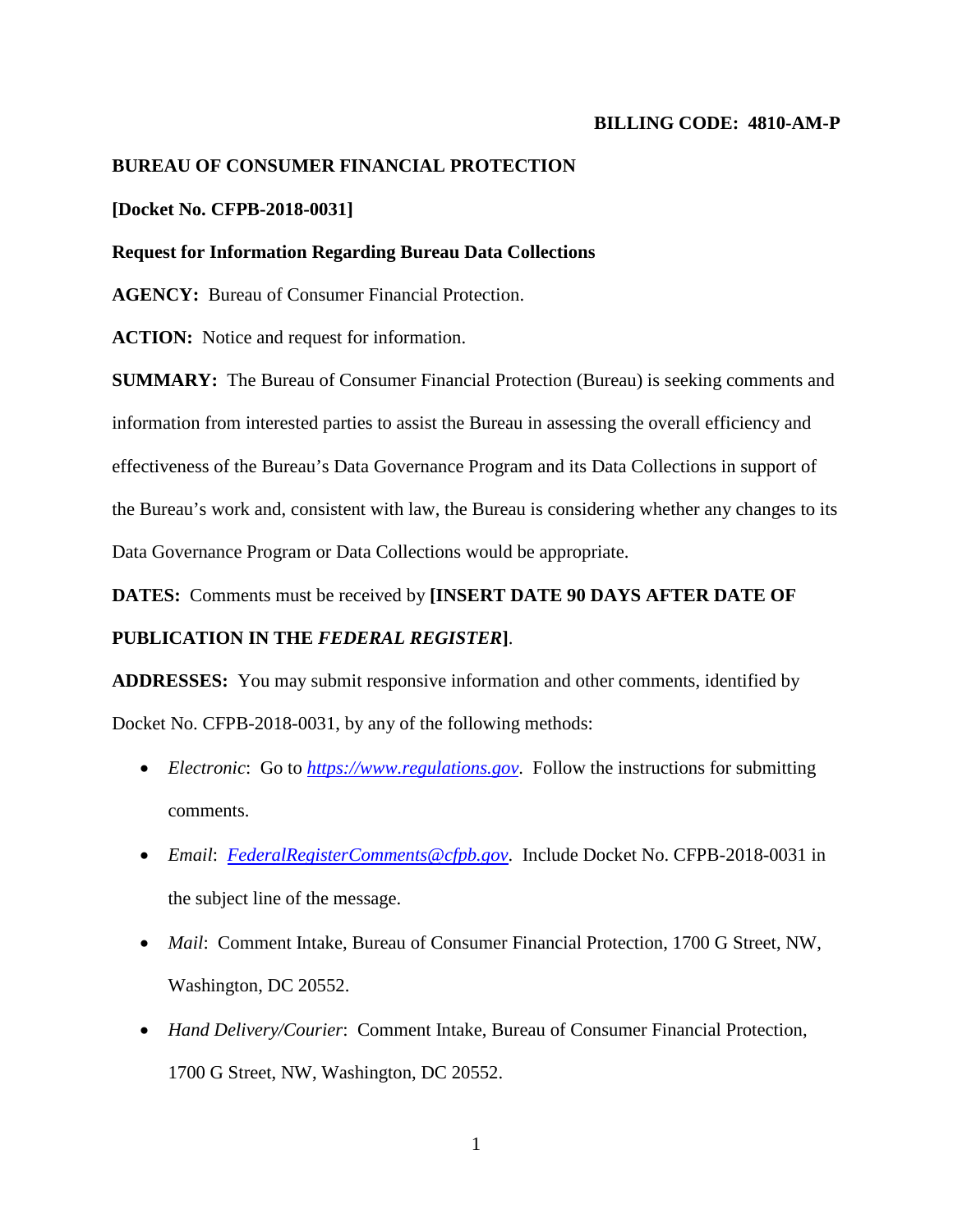# **BILLING CODE: 4810-AM-P**

## **BUREAU OF CONSUMER FINANCIAL PROTECTION**

## **[Docket No. CFPB-2018-0031]**

#### **Request for Information Regarding Bureau Data Collections**

**AGENCY:** Bureau of Consumer Financial Protection.

**ACTION:** Notice and request for information.

**SUMMARY:** The Bureau of Consumer Financial Protection (Bureau) is seeking comments and information from interested parties to assist the Bureau in assessing the overall efficiency and effectiveness of the Bureau's Data Governance Program and its Data Collections in support of the Bureau's work and, consistent with law, the Bureau is considering whether any changes to its Data Governance Program or Data Collections would be appropriate.

**DATES:** Comments must be received by **[INSERT DATE 90 DAYS AFTER DATE OF** 

## **PUBLICATION IN THE** *FEDERAL REGISTER***]**.

**ADDRESSES:** You may submit responsive information and other comments, identified by Docket No. CFPB-2018-0031, by any of the following methods:

- *Electronic*: Go to *[https://www.regulations.gov](https://www.regulations.gov/)*. Follow the instructions for submitting comments.
- *Email*: *[FederalRegisterComments@cfpb.gov](mailto:FederalRegisterComments@cfpb.gov)*. Include Docket No. CFPB-2018-0031 in the subject line of the message.
- *Mail*: Comment Intake, Bureau of Consumer Financial Protection, 1700 G Street, NW, Washington, DC 20552.
- *Hand Delivery/Courier*: Comment Intake, Bureau of Consumer Financial Protection, 1700 G Street, NW, Washington, DC 20552.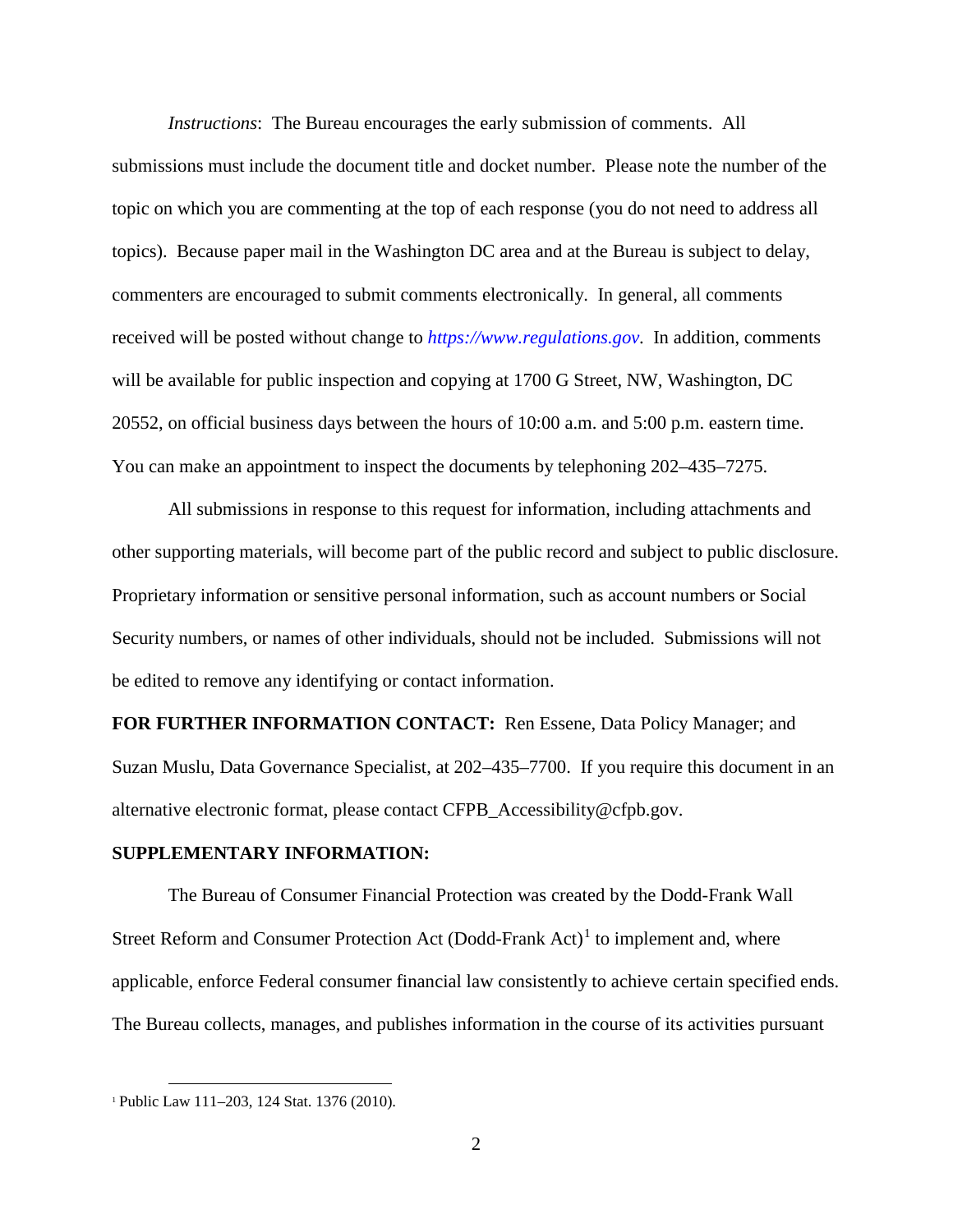*Instructions*: The Bureau encourages the early submission of comments. All submissions must include the document title and docket number. Please note the number of the topic on which you are commenting at the top of each response (you do not need to address all topics). Because paper mail in the Washington DC area and at the Bureau is subject to delay, commenters are encouraged to submit comments electronically. In general, all comments received will be posted without change to *[https://www.regulations.gov](https://www.regulations.gov/)*. In addition, comments will be available for public inspection and copying at 1700 G Street, NW, Washington, DC 20552, on official business days between the hours of 10:00 a.m. and 5:00 p.m. eastern time. You can make an appointment to inspect the documents by telephoning 202–435–7275.

All submissions in response to this request for information, including attachments and other supporting materials, will become part of the public record and subject to public disclosure. Proprietary information or sensitive personal information, such as account numbers or Social Security numbers, or names of other individuals, should not be included. Submissions will not be edited to remove any identifying or contact information.

**FOR FURTHER INFORMATION CONTACT:** Ren Essene, Data Policy Manager; and Suzan Muslu, Data Governance Specialist, at 202–435–7700. If you require this document in an alternative electronic format, please contact [CFPB\\_Accessibility@cfpb.gov.](mailto:CFPB_Accessibility@cfpb.gov)

#### **SUPPLEMENTARY INFORMATION:**

The Bureau of Consumer Financial Protection was created by the Dodd-Frank Wall Street Reform and Consumer Protection Act  $(Dodd-Frank Act)^{1}$  $(Dodd-Frank Act)^{1}$  $(Dodd-Frank Act)^{1}$  to implement and, where applicable, enforce Federal consumer financial law consistently to achieve certain specified ends. The Bureau collects, manages, and publishes information in the course of its activities pursuant

<span id="page-1-0"></span> <sup>1</sup> Public Law 111–203, 124 Stat. 1376 (2010).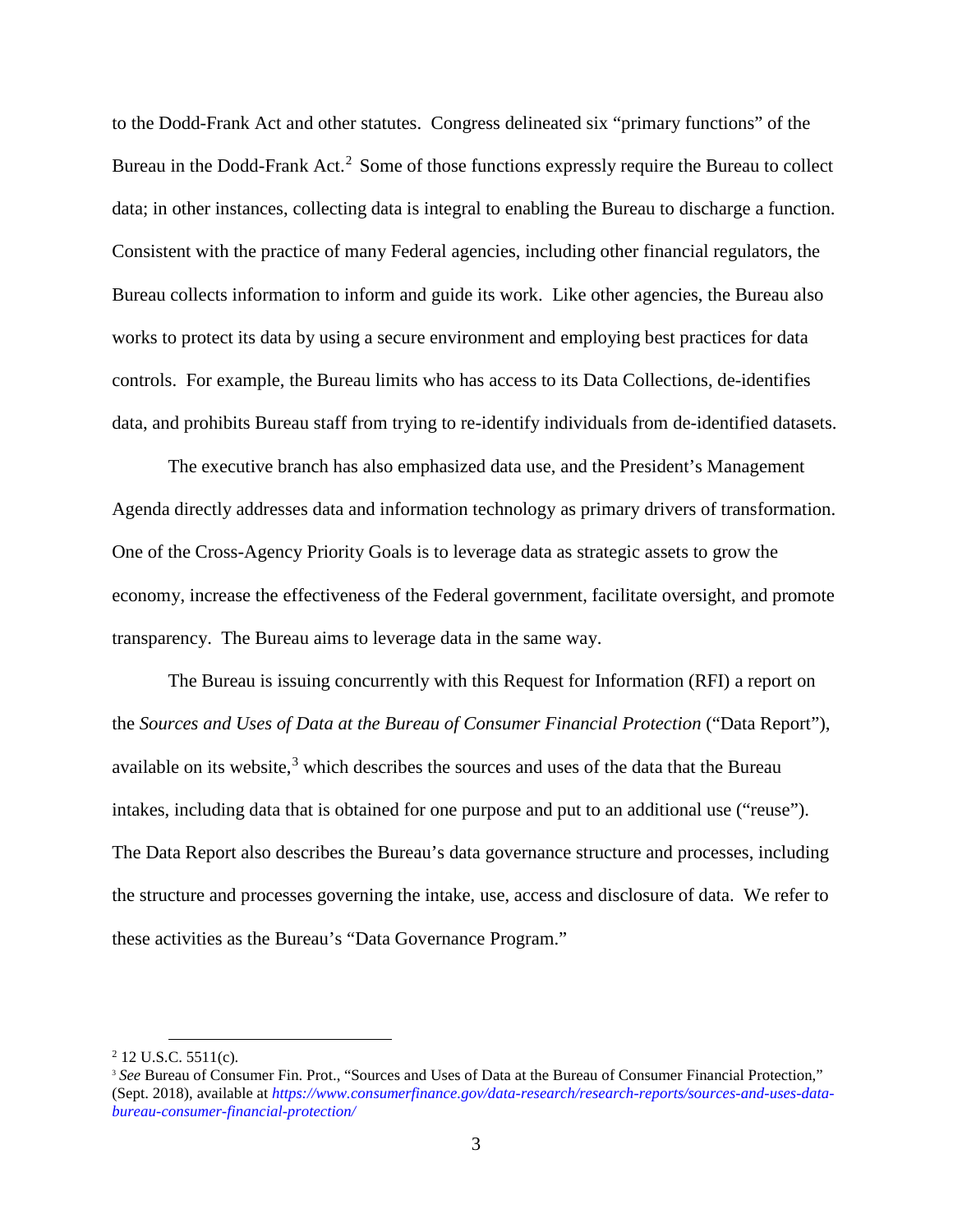to the Dodd-Frank Act and other statutes.Congress delineated six "primary functions" of the Bureau in the Dodd-Frank Act.<sup>[2](#page-2-0)</sup> Some of those functions expressly require the Bureau to collect data; in other instances, collecting data is integral to enabling the Bureau to discharge a function. Consistent with the practice of many Federal agencies, including other financial regulators, the Bureau collects information to inform and guide its work. Like other agencies, the Bureau also works to protect its data by using a secure environment and employing best practices for data controls. For example, the Bureau limits who has access to its Data Collections, de-identifies data, and prohibits Bureau staff from trying to re-identify individuals from de-identified datasets.

The executive branch has also emphasized data use, and the President's Management Agenda directly addresses data and information technology as primary drivers of transformation. One of the Cross-Agency Priority Goals is to leverage data as strategic assets to grow the economy, increase the effectiveness of the Federal government, facilitate oversight, and promote transparency. The Bureau aims to leverage data in the same way.

The Bureau is issuing concurrently with this Request for Information (RFI) a report on the *Sources and Uses of Data at the Bureau of Consumer Financial Protection* ("Data Report"), available on its website, $3$  which describes the sources and uses of the data that the Bureau intakes, including data that is obtained for one purpose and put to an additional use ("reuse"). The Data Report also describes the Bureau's data governance structure and processes, including the structure and processes governing the intake, use, access and disclosure of data. We refer to these activities as the Bureau's "Data Governance Program."

<span id="page-2-1"></span><span id="page-2-0"></span><sup>&</sup>lt;sup>2</sup> 12 U.S.C. 5511(c).<br><sup>3</sup> *See* Bureau of Consumer Fin. Prot., "Sources and Uses of Data at the Bureau of Consumer Financial Protection," (Sept. 2018), available at *[https://www.consumerfinance.gov/data-research/research-reports/sources-and-uses-data](https://www.consumerfinance.gov/data-research/research-reports/sources-and-uses-data-bureau-consumer-financial-protection/)[bureau-consumer-financial-protection/](https://www.consumerfinance.gov/data-research/research-reports/sources-and-uses-data-bureau-consumer-financial-protection/)*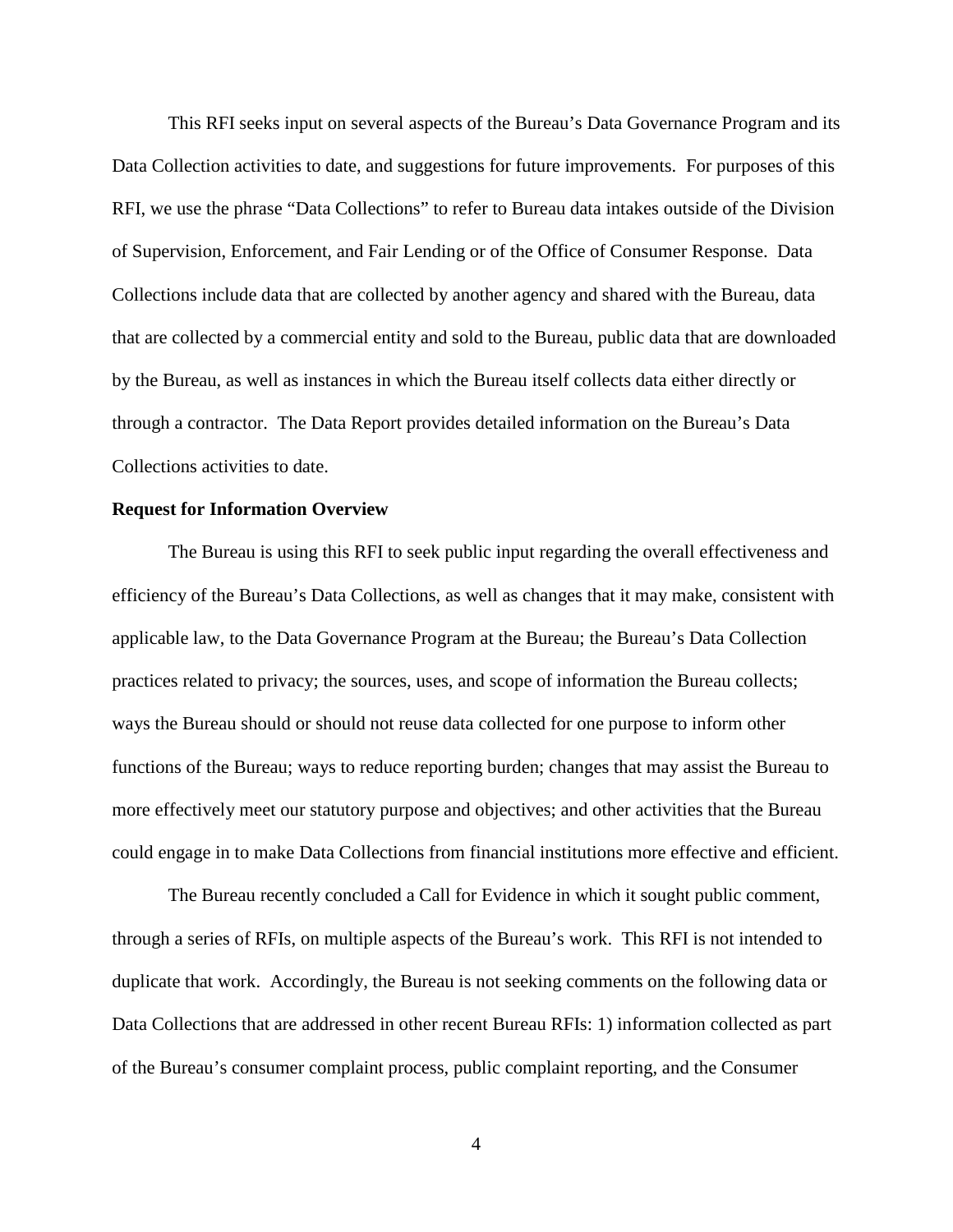This RFI seeks input on several aspects of the Bureau's Data Governance Program and its Data Collection activities to date, and suggestions for future improvements. For purposes of this RFI, we use the phrase "Data Collections" to refer to Bureau data intakes outside of the Division of Supervision, Enforcement, and Fair Lending or of the Office of Consumer Response. Data Collections include data that are collected by another agency and shared with the Bureau, data that are collected by a commercial entity and sold to the Bureau, public data that are downloaded by the Bureau, as well as instances in which the Bureau itself collects data either directly or through a contractor. The Data Report provides detailed information on the Bureau's Data Collections activities to date.

#### **Request for Information Overview**

The Bureau is using this RFI to seek public input regarding the overall effectiveness and efficiency of the Bureau's Data Collections, as well as changes that it may make, consistent with applicable law, to the Data Governance Program at the Bureau; the Bureau's Data Collection practices related to privacy; the sources, uses, and scope of information the Bureau collects; ways the Bureau should or should not reuse data collected for one purpose to inform other functions of the Bureau; ways to reduce reporting burden; changes that may assist the Bureau to more effectively meet our statutory purpose and objectives; and other activities that the Bureau could engage in to make Data Collections from financial institutions more effective and efficient.

The Bureau recently concluded a Call for Evidence in which it sought public comment, through a series of RFIs, on multiple aspects of the Bureau's work. This RFI is not intended to duplicate that work. Accordingly, the Bureau is not seeking comments on the following data or Data Collections that are addressed in other recent Bureau RFIs: 1) information collected as part of the Bureau's consumer complaint process, public complaint reporting, and the Consumer

4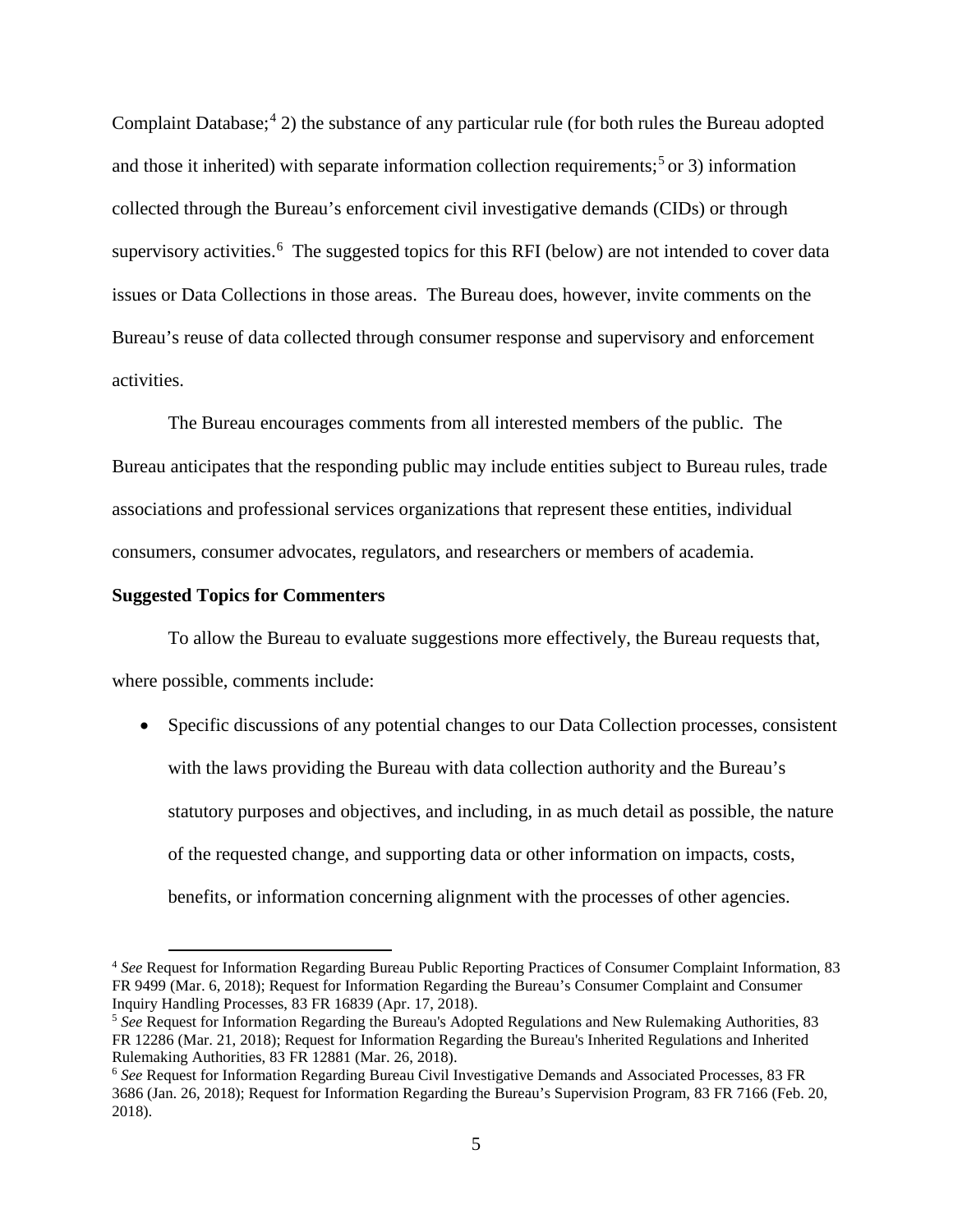Complaint Database;  $4$  2) the substance of any particular rule (for both rules the Bureau adopted and those it inherited) with separate information collection requirements;<sup>[5](#page-4-1)</sup> or 3) information collected through the Bureau's enforcement civil investigative demands (CIDs) or through supervisory activities.<sup>[6](#page-4-2)</sup> The suggested topics for this RFI (below) are not intended to cover data issues or Data Collections in those areas. The Bureau does, however, invite comments on the Bureau's reuse of data collected through consumer response and supervisory and enforcement activities.

The Bureau encourages comments from all interested members of the public. The Bureau anticipates that the responding public may include entities subject to Bureau rules, trade associations and professional services organizations that represent these entities, individual consumers, consumer advocates, regulators, and researchers or members of academia.

#### **Suggested Topics for Commenters**

To allow the Bureau to evaluate suggestions more effectively, the Bureau requests that, where possible, comments include:

• Specific discussions of any potential changes to our Data Collection processes, consistent with the laws providing the Bureau with data collection authority and the Bureau's statutory purposes and objectives, and including, in as much detail as possible, the nature of the requested change, and supporting data or other information on impacts, costs, benefits, or information concerning alignment with the processes of other agencies.

<span id="page-4-0"></span> <sup>4</sup> *See* Request for Information Regarding Bureau Public Reporting Practices of Consumer Complaint Information, 83 FR 9499 (Mar. 6, 2018); Request for Information Regarding the Bureau's Consumer Complaint and Consumer Inquiry Handling Processes, 83 FR 16839 (Apr. 17, 2018).

<span id="page-4-1"></span><sup>5</sup> *See* Request for Information Regarding the Bureau's Adopted Regulations and New Rulemaking Authorities, 83 FR 12286 (Mar. 21, 2018); Request for Information Regarding the Bureau's Inherited Regulations and Inherited Rulemaking Authorities, 83 FR 12881 (Mar. 26, 2018).

<span id="page-4-2"></span><sup>6</sup> *See* Request for Information Regarding Bureau Civil Investigative Demands and Associated Processes, 83 FR 3686 (Jan. 26, 2018); Request for Information Regarding the Bureau's Supervision Program, 83 FR 7166 (Feb. 20, 2018).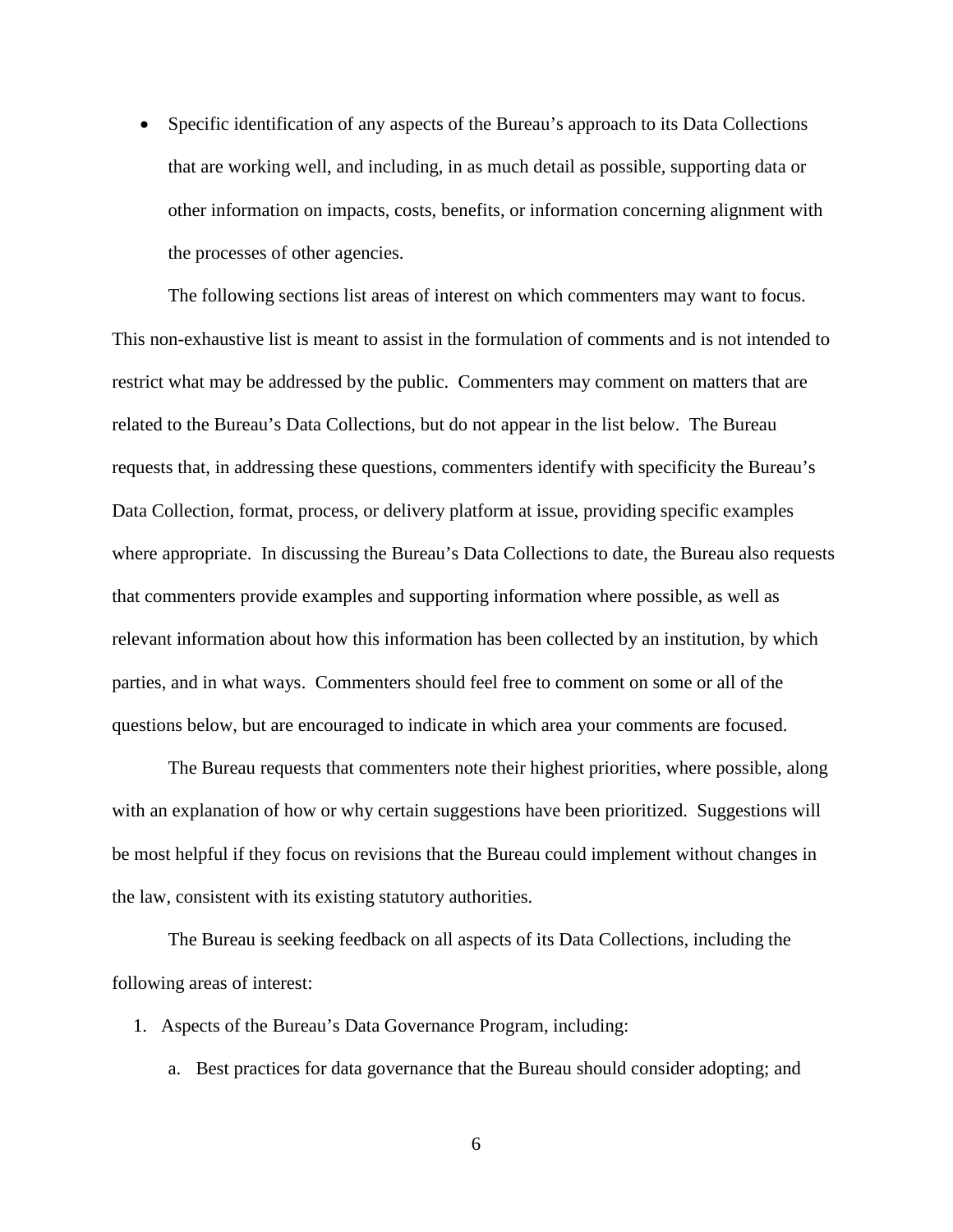• Specific identification of any aspects of the Bureau's approach to its Data Collections that are working well, and including, in as much detail as possible, supporting data or other information on impacts, costs, benefits, or information concerning alignment with the processes of other agencies.

The following sections list areas of interest on which commenters may want to focus. This non-exhaustive list is meant to assist in the formulation of comments and is not intended to restrict what may be addressed by the public. Commenters may comment on matters that are related to the Bureau's Data Collections, but do not appear in the list below. The Bureau requests that, in addressing these questions, commenters identify with specificity the Bureau's Data Collection, format, process, or delivery platform at issue, providing specific examples where appropriate. In discussing the Bureau's Data Collections to date, the Bureau also requests that commenters provide examples and supporting information where possible, as well as relevant information about how this information has been collected by an institution, by which parties, and in what ways. Commenters should feel free to comment on some or all of the questions below, but are encouraged to indicate in which area your comments are focused.

The Bureau requests that commenters note their highest priorities, where possible, along with an explanation of how or why certain suggestions have been prioritized. Suggestions will be most helpful if they focus on revisions that the Bureau could implement without changes in the law, consistent with its existing statutory authorities.

The Bureau is seeking feedback on all aspects of its Data Collections, including the following areas of interest:

- 1. Aspects of the Bureau's Data Governance Program, including:
	- a. Best practices for data governance that the Bureau should consider adopting; and

6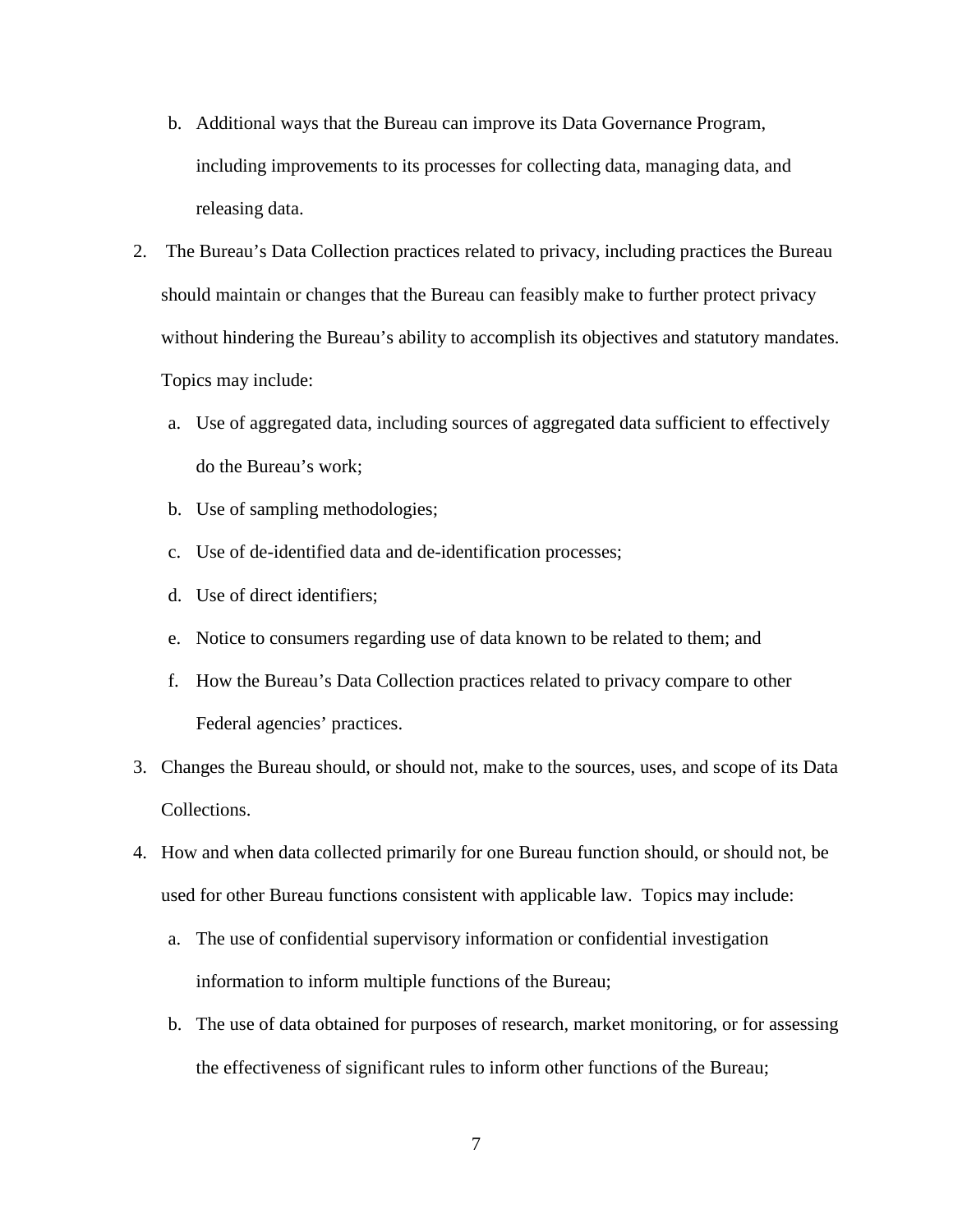- b. Additional ways that the Bureau can improve its Data Governance Program, including improvements to its processes for collecting data, managing data, and releasing data.
- 2. The Bureau's Data Collection practices related to privacy, including practices the Bureau should maintain or changes that the Bureau can feasibly make to further protect privacy without hindering the Bureau's ability to accomplish its objectives and statutory mandates. Topics may include:
	- a. Use of aggregated data, including sources of aggregated data sufficient to effectively do the Bureau's work;
	- b. Use of sampling methodologies;
	- c. Use of de-identified data and de-identification processes;
	- d. Use of direct identifiers;
	- e. Notice to consumers regarding use of data known to be related to them; and
	- f. How the Bureau's Data Collection practices related to privacy compare to other Federal agencies' practices.
- 3. Changes the Bureau should, or should not, make to the sources, uses, and scope of its Data Collections.
- 4. How and when data collected primarily for one Bureau function should, or should not, be used for other Bureau functions consistent with applicable law. Topics may include:
	- a. The use of confidential supervisory information or confidential investigation information to inform multiple functions of the Bureau;
	- b. The use of data obtained for purposes of research, market monitoring, or for assessing the effectiveness of significant rules to inform other functions of the Bureau;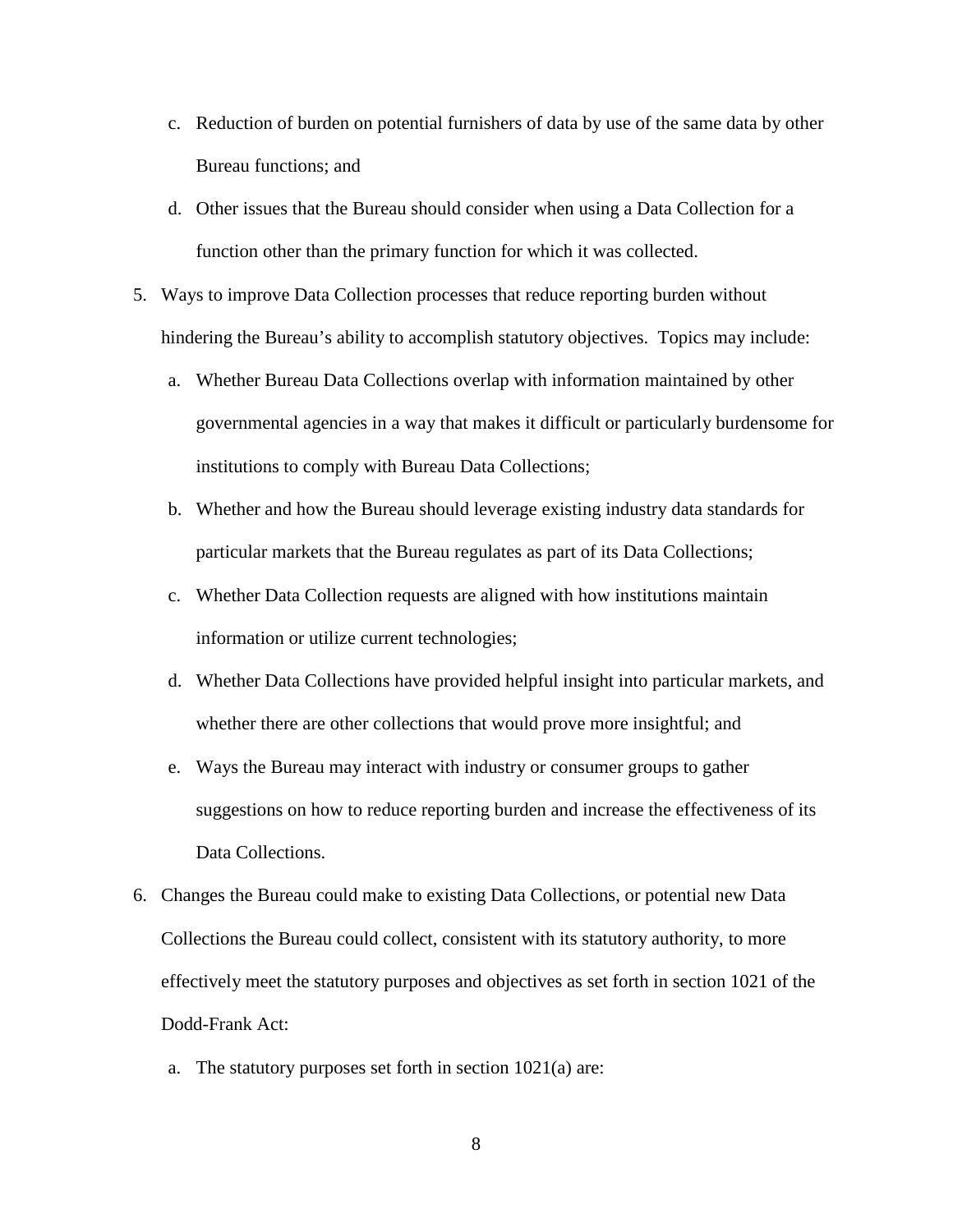- c. Reduction of burden on potential furnishers of data by use of the same data by other Bureau functions; and
- d. Other issues that the Bureau should consider when using a Data Collection for a function other than the primary function for which it was collected.
- 5. Ways to improve Data Collection processes that reduce reporting burden without hindering the Bureau's ability to accomplish statutory objectives. Topics may include:
	- a. Whether Bureau Data Collections overlap with information maintained by other governmental agencies in a way that makes it difficult or particularly burdensome for institutions to comply with Bureau Data Collections;
	- b. Whether and how the Bureau should leverage existing industry data standards for particular markets that the Bureau regulates as part of its Data Collections;
	- c. Whether Data Collection requests are aligned with how institutions maintain information or utilize current technologies;
	- d. Whether Data Collections have provided helpful insight into particular markets, and whether there are other collections that would prove more insightful; and
	- e. Ways the Bureau may interact with industry or consumer groups to gather suggestions on how to reduce reporting burden and increase the effectiveness of its Data Collections.
- 6. Changes the Bureau could make to existing Data Collections, or potential new Data Collections the Bureau could collect, consistent with its statutory authority, to more effectively meet the statutory purposes and objectives as set forth in section 1021 of the Dodd-Frank Act:
	- a. The statutory purposes set forth in section 1021(a) are:

8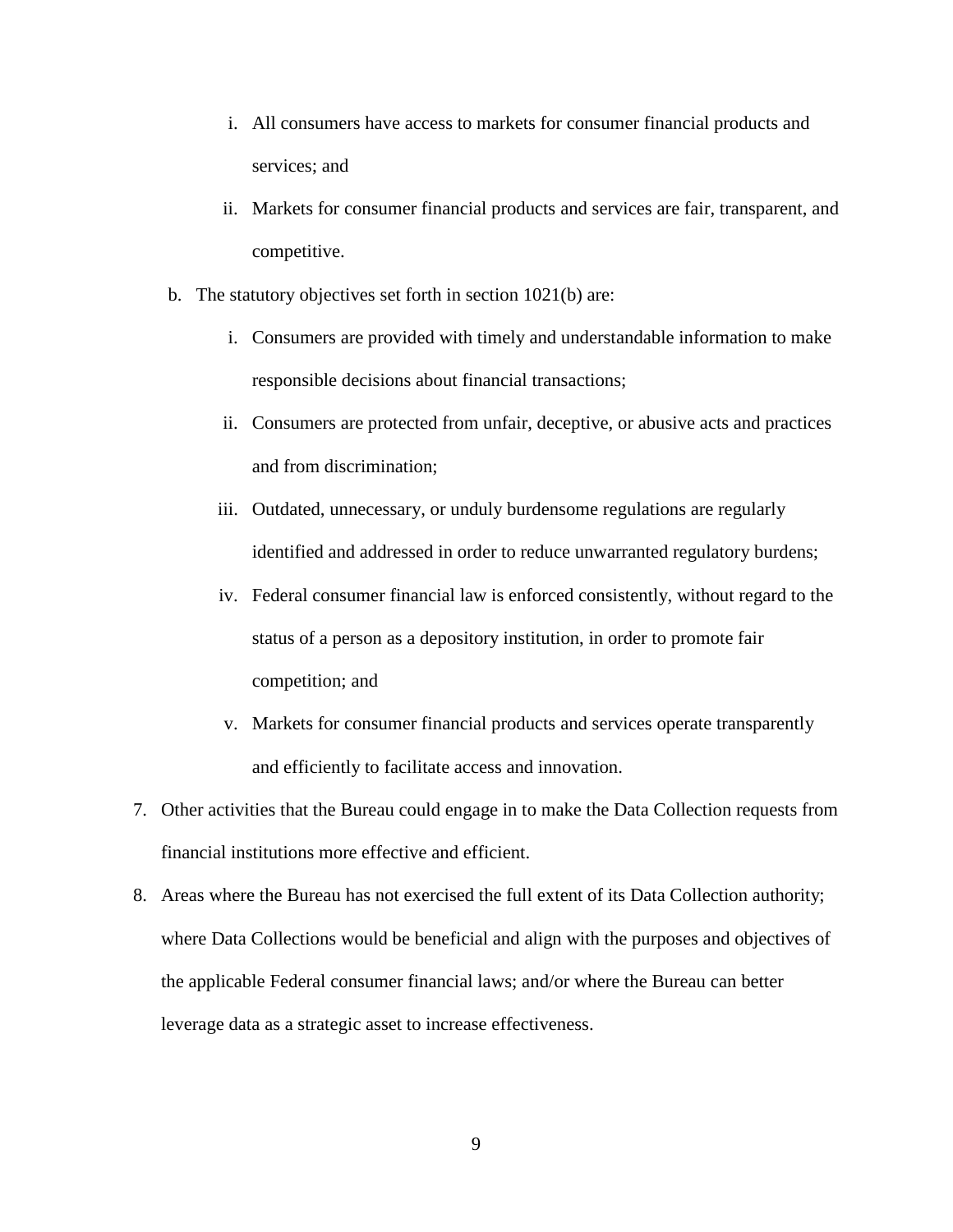- i. All consumers have access to markets for consumer financial products and services; and
- ii. Markets for consumer financial products and services are fair, transparent, and competitive.
- b. The statutory objectives set forth in section 1021(b) are:
	- i. Consumers are provided with timely and understandable information to make responsible decisions about financial transactions;
	- ii. Consumers are protected from unfair, deceptive, or abusive acts and practices and from discrimination;
	- iii. Outdated, unnecessary, or unduly burdensome regulations are regularly identified and addressed in order to reduce unwarranted regulatory burdens;
	- iv. Federal consumer financial law is enforced consistently, without regard to the status of a person as a depository institution, in order to promote fair competition; and
	- v. Markets for consumer financial products and services operate transparently and efficiently to facilitate access and innovation.
- 7. Other activities that the Bureau could engage in to make the Data Collection requests from financial institutions more effective and efficient.
- 8. Areas where the Bureau has not exercised the full extent of its Data Collection authority; where Data Collections would be beneficial and align with the purposes and objectives of the applicable Federal consumer financial laws; and/or where the Bureau can better leverage data as a strategic asset to increase effectiveness.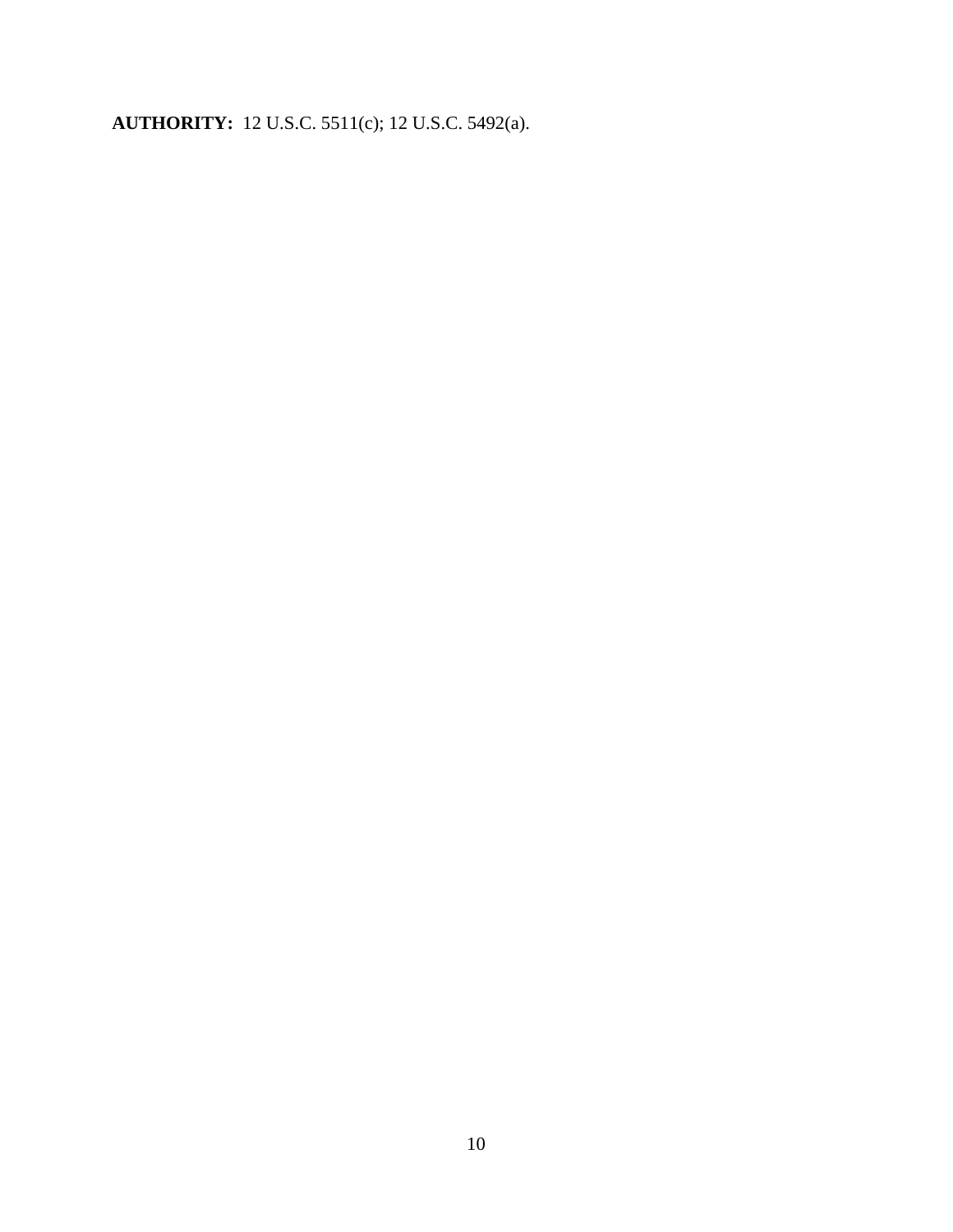**AUTHORITY:** 12 U.S.C. 5511(c); 12 U.S.C. 5492(a).